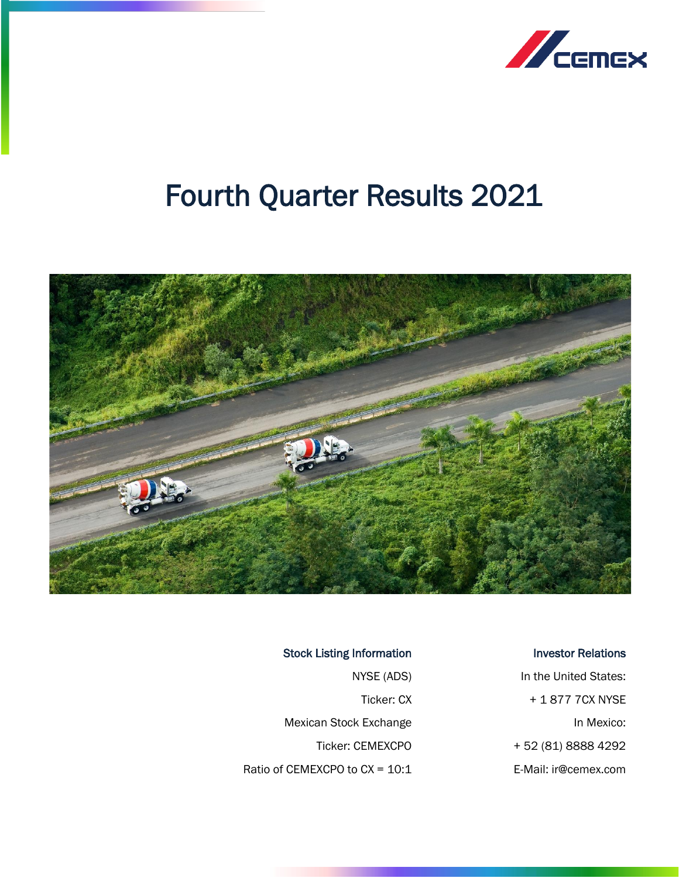

# Fourth Quarter Results 2021



## Stock Listing Information

NYSE (ADS) Ticker: CX Mexican Stock Exchange Ticker: CEMEXCPO Ratio of CEMEXCPO to CX = 10:1

## Investor Relations

In the United States: + 1 877 7CX NYSE In Mexico: + 52 (81) 8888 4292 E-Mail: ir@cemex.com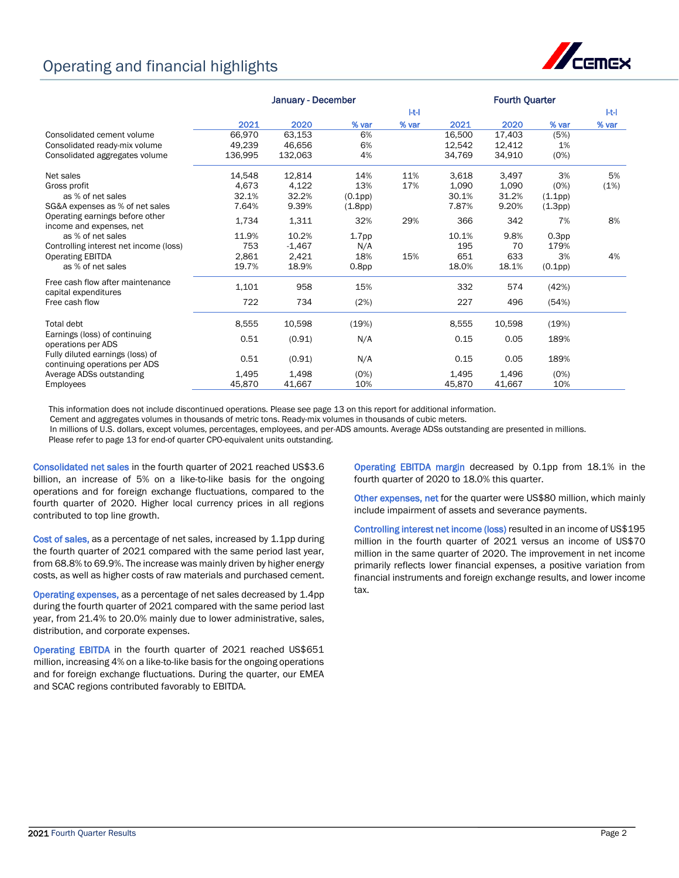## Operating and financial highlights



|                                                                   |         | <b>Fourth Quarter</b><br>January - December |                   |       |        |        |                   |       |
|-------------------------------------------------------------------|---------|---------------------------------------------|-------------------|-------|--------|--------|-------------------|-------|
|                                                                   |         |                                             |                   | $H -$ |        |        |                   | HH.   |
|                                                                   | 2021    | 2020                                        | % var             | % var | 2021   | 2020   | % var             | % var |
| Consolidated cement volume                                        | 66.970  | 63,153                                      | 6%                |       | 16,500 | 17,403 | (5%)              |       |
| Consolidated ready-mix volume                                     | 49,239  | 46.656                                      | 6%                |       | 12,542 | 12,412 | 1%                |       |
| Consolidated aggregates volume                                    | 136,995 | 132,063                                     | 4%                |       | 34,769 | 34,910 | (0%)              |       |
| Net sales                                                         | 14,548  | 12,814                                      | 14%               | 11%   | 3.618  | 3,497  | 3%                | 5%    |
| Gross profit                                                      | 4,673   | 4,122                                       | 13%               | 17%   | 1,090  | 1,090  | (0%)              | (1%)  |
| as % of net sales                                                 | 32.1%   | 32.2%                                       | (0.1pp)           |       | 30.1%  | 31.2%  | (1.1pp)           |       |
| SG&A expenses as % of net sales                                   | 7.64%   | 9.39%                                       | (1.8pp)           |       | 7.87%  | 9.20%  | (1.3pp)           |       |
| Operating earnings before other<br>income and expenses, net       | 1,734   | 1,311                                       | 32%               | 29%   | 366    | 342    | 7%                | 8%    |
| as % of net sales                                                 | 11.9%   | 10.2%                                       | 1.7 <sub>pp</sub> |       | 10.1%  | 9.8%   | 0.3 <sub>pp</sub> |       |
| Controlling interest net income (loss)                            | 753     | $-1,467$                                    | N/A               |       | 195    | 70     | 179%              |       |
| <b>Operating EBITDA</b>                                           | 2,861   | 2,421                                       | 18%               | 15%   | 651    | 633    | 3%                | 4%    |
| as % of net sales                                                 | 19.7%   | 18.9%                                       | 0.8 <sub>pp</sub> |       | 18.0%  | 18.1%  | (0.1pp)           |       |
| Free cash flow after maintenance<br>capital expenditures          | 1,101   | 958                                         | 15%               |       | 332    | 574    | (42%)             |       |
| Free cash flow                                                    | 722     | 734                                         | (2%)              |       | 227    | 496    | (54%)             |       |
| Total debt                                                        | 8,555   | 10,598                                      | (19%)             |       | 8,555  | 10,598 | (19%)             |       |
| Earnings (loss) of continuing<br>operations per ADS               | 0.51    | (0.91)                                      | N/A               |       | 0.15   | 0.05   | 189%              |       |
| Fully diluted earnings (loss) of<br>continuing operations per ADS | 0.51    | (0.91)                                      | N/A               |       | 0.15   | 0.05   | 189%              |       |
| Average ADSs outstanding                                          | 1,495   | 1,498                                       | (0%)              |       | 1,495  | 1,496  | (0%)              |       |
| Employees                                                         | 45,870  | 41,667                                      | 10%               |       | 45,870 | 41,667 | 10%               |       |

This information does not include discontinued operations. Please see page 13 on this report for additional information.

Cement and aggregates volumes in thousands of metric tons. Ready-mix volumes in thousands of cubic meters.

In millions of U.S. dollars, except volumes, percentages, employees, and per-ADS amounts. Average ADSs outstanding are presented in millions.

Please refer to page 13 for end-of quarter CPO-equivalent units outstanding.

Consolidated net sales in the fourth quarter of 2021 reached US\$3.6 billion, an increase of 5% on a like-to-like basis for the ongoing operations and for foreign exchange fluctuations, compared to the fourth quarter of 2020. Higher local currency prices in all regions contributed to top line growth.

Cost of sales, as a percentage of net sales, increased by 1.1pp during the fourth quarter of 2021 compared with the same period last year, from 68.8% to 69.9%. The increase was mainly driven by higher energy costs, as well as higher costs of raw materials and purchased cement.

Operating expenses, as a percentage of net sales decreased by 1.4pp during the fourth quarter of 2021 compared with the same period last year, from 21.4% to 20.0% mainly due to lower administrative, sales, distribution, and corporate expenses.

Operating EBITDA in the fourth quarter of 2021 reached US\$651 million, increasing 4% on a like-to-like basis for the ongoing operations and for foreign exchange fluctuations. During the quarter, our EMEA and SCAC regions contributed favorably to EBITDA.

Operating EBITDA margin decreased by 0.1pp from 18.1% in the fourth quarter of 2020 to 18.0% this quarter.

Other expenses, net for the quarter were US\$80 million, which mainly include impairment of assets and severance payments.

Controlling interest net income (loss) resulted in an income of US\$195 million in the fourth quarter of 2021 versus an income of US\$70 million in the same quarter of 2020. The improvement in net income primarily reflects lower financial expenses, a positive variation from financial instruments and foreign exchange results, and lower income tax.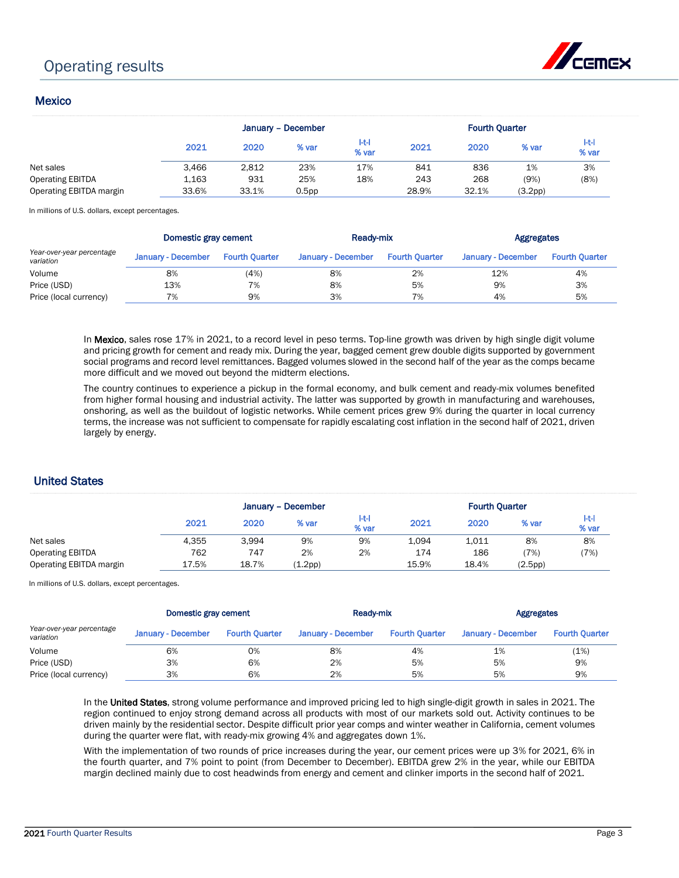## Operating results



## **Mexico**

|                         |       |       | January - December |                |       | <b>Fourth Ouarter</b> |         |                         |  |
|-------------------------|-------|-------|--------------------|----------------|-------|-----------------------|---------|-------------------------|--|
|                         | 2021  | 2020  | % var              | I-t-l<br>% var | 2021  | 2020                  | % var   | H <sub>1</sub><br>% var |  |
| Net sales               | 3,466 | 2,812 | 23%                | 17%            | 841   | 836                   | 1%      | 3%                      |  |
| <b>Operating EBITDA</b> | 1,163 | 931   | 25%                | 18%            | 243   | 268                   | (9%)    | (8%)                    |  |
| Operating EBITDA margin | 33.6% | 33.1% | 0.5 <sub>pp</sub>  |                | 28.9% | 32.1%                 | (3.2pp) |                         |  |

In millions of U.S. dollars, except percentages.

|                                        | Domestic gray cement      |                       | Ready-mix          |                       | Aggregates         |                       |  |
|----------------------------------------|---------------------------|-----------------------|--------------------|-----------------------|--------------------|-----------------------|--|
| Year-over-year percentage<br>variation | <b>January - December</b> | <b>Fourth Ouarter</b> | January - December | <b>Fourth Ouarter</b> | January - December | <b>Fourth Quarter</b> |  |
| Volume                                 | 8%                        | (4%)                  | 8%                 | 2%                    | 12%                | 4%                    |  |
| Price (USD)                            | 13%                       | 7%                    | 8%                 | 5%                    | 9%                 | 3%                    |  |
| Price (local currency)                 | 7%                        | 9%                    | 3%                 | 7%                    | 4%                 | 5%                    |  |

In Mexico, sales rose 17% in 2021, to a record level in peso terms. Top-line growth was driven by high single digit volume and pricing growth for cement and ready mix. During the year, bagged cement grew double digits supported by government social programs and record level remittances. Bagged volumes slowed in the second half of the year as the comps became more difficult and we moved out beyond the midterm elections.

The country continues to experience a pickup in the formal economy, and bulk cement and ready-mix volumes benefited from higher formal housing and industrial activity. The latter was supported by growth in manufacturing and warehouses, onshoring, as well as the buildout of logistic networks. While cement prices grew 9% during the quarter in local currency terms, the increase was not sufficient to compensate for rapidly escalating cost inflation in the second half of 2021, driven largely by energy.

### United States

|                         |       | January - December |         |                |       | <b>Fourth Quarter</b> |         |                |  |  |
|-------------------------|-------|--------------------|---------|----------------|-------|-----------------------|---------|----------------|--|--|
|                         | 2021  | 2020               | % var   | $H -$<br>% var | 2021  | 2020                  | % var   | $H -$<br>% var |  |  |
| Net sales               | 4,355 | 3.994              | 9%      | 9%             | 1,094 | 1,011                 | 8%      | 8%             |  |  |
| <b>Operating EBITDA</b> | 762   | 747                | 2%      | 2%             | 174   | 186                   | (7%)    | 7%)            |  |  |
| Operating EBITDA margin | 17.5% | 18.7%              | (1.2pp) |                | 15.9% | 18.4%                 | (2.5pp) |                |  |  |

In millions of U.S. dollars, except percentages.

|                                        | Domestic gray cement |                       | Ready-mix          |                       | <b>Aggregates</b>  |                       |  |
|----------------------------------------|----------------------|-----------------------|--------------------|-----------------------|--------------------|-----------------------|--|
| Year-over-year percentage<br>variation | January - December   | <b>Fourth Ouarter</b> | January - December | <b>Fourth Ouarter</b> | January - December | <b>Fourth Quarter</b> |  |
| Volume                                 | 6%                   | 0%                    | 8%                 | 4%                    | 1%                 | (1%)                  |  |
| Price (USD)                            | 3%                   | 6%                    | 2%                 | 5%                    | 5%                 | 9%                    |  |
| Price (local currency)                 | 3%                   | 6%                    | 2%                 | 5%                    | 5%                 | 9%                    |  |

In the United States, strong volume performance and improved pricing led to high single-digit growth in sales in 2021. The region continued to enjoy strong demand across all products with most of our markets sold out. Activity continues to be driven mainly by the residential sector. Despite difficult prior year comps and winter weather in California, cement volumes during the quarter were flat, with ready-mix growing 4% and aggregates down 1%.

With the implementation of two rounds of price increases during the year, our cement prices were up 3% for 2021, 6% in the fourth quarter, and 7% point to point (from December to December). EBITDA grew 2% in the year, while our EBITDA margin declined mainly due to cost headwinds from energy and cement and clinker imports in the second half of 2021.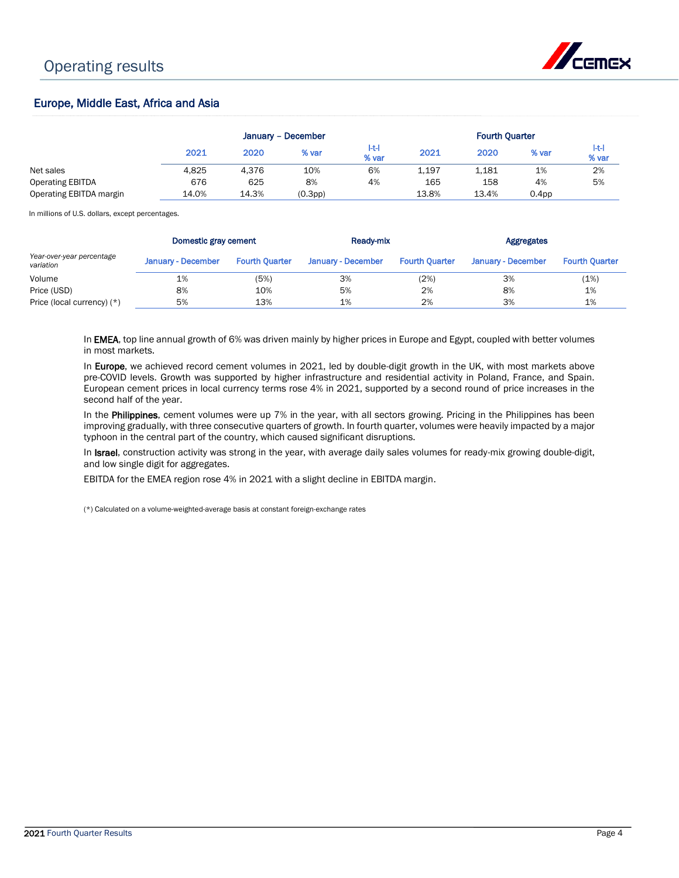

## Europe, Middle East, Africa and Asia

|                         |       | January - December |         |             |       | <b>Fourth Quarter</b> |                   |                |  |  |
|-------------------------|-------|--------------------|---------|-------------|-------|-----------------------|-------------------|----------------|--|--|
|                         | 2021  | 2020               | % var   | HH<br>% var | 2021  | 2020                  | % var             | I-t-l<br>% var |  |  |
| Net sales               | 4,825 | 4.376              | 10%     | 6%          | 1.197 | 1,181                 | 1%                | 2%             |  |  |
| <b>Operating EBITDA</b> | 676   | 625                | 8%      | 4%          | 165   | 158                   | 4%                | 5%             |  |  |
| Operating EBITDA margin | 14.0% | 14.3%              | (0.3pp) |             | 13.8% | 13.4%                 | 0.4 <sub>pp</sub> |                |  |  |

In millions of U.S. dollars, except percentages.

|                                        | Domestic gray cement |                       | Ready-mix          |                       | Aggregates         |                       |  |
|----------------------------------------|----------------------|-----------------------|--------------------|-----------------------|--------------------|-----------------------|--|
| Year-over-year percentage<br>variation | January - December   | <b>Fourth Ouarter</b> | January - December | <b>Fourth Ouarter</b> | January - December | <b>Fourth Ouarter</b> |  |
| Volume                                 | 1%                   | (5%)                  | 3%                 | (2%)                  | 3%                 | (1%)                  |  |
| Price (USD)                            | 8%                   | 10%                   | 5%                 | 2%                    | 8%                 | 1%                    |  |
| Price (local currency) (*)             | 5%                   | 13%                   | 1%                 | 2%                    | 3%                 | 1%                    |  |

In **EMEA**, top line annual growth of 6% was driven mainly by higher prices in Europe and Egypt, coupled with better volumes in most markets.

In Europe, we achieved record cement volumes in 2021, led by double-digit growth in the UK, with most markets above pre-COVID levels. Growth was supported by higher infrastructure and residential activity in Poland, France, and Spain. European cement prices in local currency terms rose 4% in 2021, supported by a second round of price increases in the second half of the year.

In the Philippines, cement volumes were up 7% in the year, with all sectors growing. Pricing in the Philippines has been improving gradually, with three consecutive quarters of growth. In fourth quarter, volumes were heavily impacted by a major typhoon in the central part of the country, which caused significant disruptions.

In Israel, construction activity was strong in the year, with average daily sales volumes for ready-mix growing double-digit, and low single digit for aggregates.

EBITDA for the EMEA region rose 4% in 2021 with a slight decline in EBITDA margin.

(\*) Calculated on a volume-weighted-average basis at constant foreign-exchange rates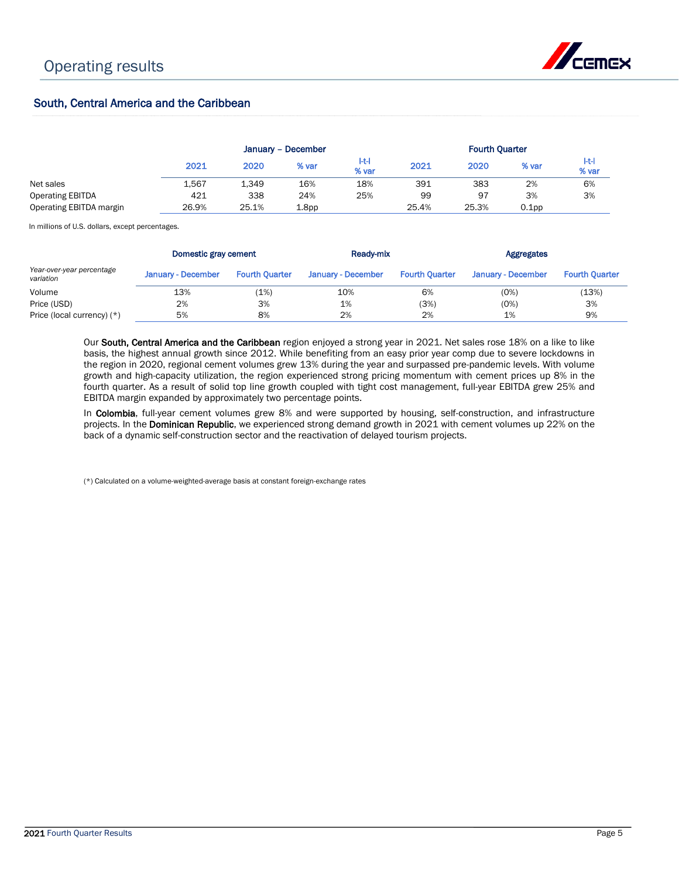

## South, Central America and the Caribbean

|                         |       |       | January - December |             |       | <b>Fourth Ouarter</b> |                   |               |
|-------------------------|-------|-------|--------------------|-------------|-------|-----------------------|-------------------|---------------|
|                         | 2021  | 2020  | % var              | HH<br>% var | 2021  | 2020                  | % var             | ŀt-l<br>% var |
| Net sales               | 1,567 | 1.349 | 16%                | 18%         | 391   | 383                   | 2%                | 6%            |
| <b>Operating EBITDA</b> | 421   | 338   | 24%                | 25%         | 99    | 97                    | 3%                | 3%            |
| Operating EBITDA margin | 26.9% | 25.1% | ⊥.8pp              |             | 25.4% | 25.3%                 | 0.1 <sub>pp</sub> |               |

In millions of U.S. dollars, except percentages.

|                                        | Domestic gray cement |                       | Ready-mix          |                       | <b>Aggregates</b>  |                       |  |
|----------------------------------------|----------------------|-----------------------|--------------------|-----------------------|--------------------|-----------------------|--|
| Year-over-year percentage<br>variation | January - December   | <b>Fourth Ouarter</b> | January - December | <b>Fourth Quarter</b> | January - December | <b>Fourth Quarter</b> |  |
| Volume                                 | 13%                  | (1%)                  | 10%                | 6%                    | (0%)               | (13%)                 |  |
| Price (USD)                            | 2%                   | 3%                    | 1%                 | (3%)                  | (0%)               | 3%                    |  |
| Price (local currency) (*)             | 5%                   | 8%                    | 2%                 | 2%                    | 1%                 | 9%                    |  |

Our South, Central America and the Caribbean region enjoyed a strong year in 2021. Net sales rose 18% on a like to like basis, the highest annual growth since 2012. While benefiting from an easy prior year comp due to severe lockdowns in the region in 2020, regional cement volumes grew 13% during the year and surpassed pre-pandemic levels. With volume growth and high-capacity utilization, the region experienced strong pricing momentum with cement prices up 8% in the fourth quarter. As a result of solid top line growth coupled with tight cost management, full-year EBITDA grew 25% and EBITDA margin expanded by approximately two percentage points.

In Colombia, full-year cement volumes grew 8% and were supported by housing, self-construction, and infrastructure projects. In the **Dominican Republic**, we experienced strong demand growth in 2021 with cement volumes up 22% on the back of a dynamic self-construction sector and the reactivation of delayed tourism projects.

(\*) Calculated on a volume-weighted-average basis at constant foreign-exchange rates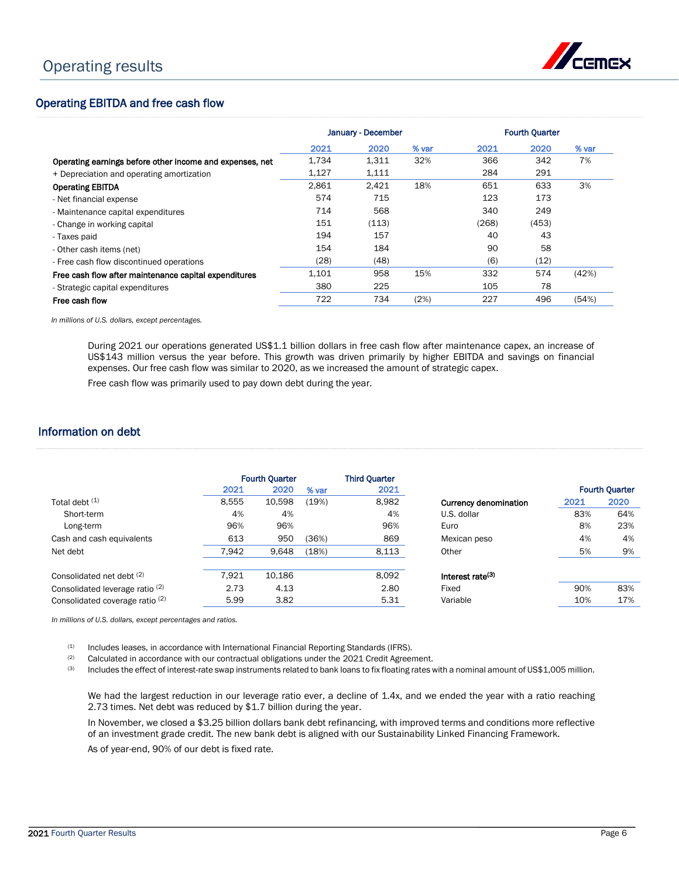

## Operating EBITDA and free cash flow

|                                                          | January - December |       |       | <b>Fourth Quarter</b> |       |       |  |
|----------------------------------------------------------|--------------------|-------|-------|-----------------------|-------|-------|--|
|                                                          | 2021               | 2020  | % var | 2021                  | 2020  | % var |  |
| Operating earnings before other income and expenses, net | 1,734              | 1,311 | 32%   | 366                   | 342   | 7%    |  |
| + Depreciation and operating amortization                | 1.127              | 1,111 |       | 284                   | 291   |       |  |
| <b>Operating EBITDA</b>                                  | 2.861              | 2.421 | 18%   | 651                   | 633   | 3%    |  |
| - Net financial expense                                  | 574                | 715   |       | 123                   | 173   |       |  |
| - Maintenance capital expenditures                       | 714                | 568   |       | 340                   | 249   |       |  |
| - Change in working capital                              | 151                | (113) |       | (268)                 | (453) |       |  |
| - Taxes paid                                             | 194                | 157   |       | 40                    | 43    |       |  |
| - Other cash items (net)                                 | 154                | 184   |       | 90                    | 58    |       |  |
| - Free cash flow discontinued operations                 | (28)               | (48)  |       | (6)                   | (12)  |       |  |
| Free cash flow after maintenance capital expenditures    | 1,101              | 958   | 15%   | 332                   | 574   | (42%) |  |
| - Strategic capital expenditures                         | 380                | 225   |       | 105                   | 78    |       |  |
| Free cash flow                                           | 722                | 734   | (2%)  | 227                   | 496   | (54%) |  |

*In millions of U.S. dollars, except percentages.*

During 2021 our operations generated US\$1.1 billion dollars in free cash flow after maintenance capex, an increase of US\$143 million versus the year before. This growth was driven primarily by higher EBITDA and savings on financial expenses. Our free cash flow was similar to 2020, as we increased the amount of strategic capex.

Free cash flow was primarily used to pay down debt during the year.

### Information on debt

|                                            |       | <b>Fourth Quarter</b> |       | <b>Third Quarter</b> |                              |      |                       |
|--------------------------------------------|-------|-----------------------|-------|----------------------|------------------------------|------|-----------------------|
|                                            | 2021  | 2020                  | % var | 2021                 |                              |      | <b>Fourth Quarter</b> |
| Total debt (1)                             | 8,555 | 10,598                | (19%) | 8,982                | <b>Currency denomination</b> | 2021 | 2020                  |
| Short-term                                 | 4%    | 4%                    |       | 4%                   | U.S. dollar                  | 83%  | 64%                   |
| Long-term                                  | 96%   | 96%                   |       | 96%                  | Euro                         | 8%   | 23%                   |
| Cash and cash equivalents                  | 613   | 950                   | (36%) | 869                  | Mexican peso                 | 4%   | 4%                    |
| Net debt                                   | 7.942 | 9.648                 | (18%) | 8.113                | Other                        | 5%   | 9%                    |
| Consolidated net debt (2)                  | 7,921 | 10,186                |       | 8.092                | Interest rate <sup>(3)</sup> |      |                       |
| Consolidated leverage ratio <sup>(2)</sup> | 2.73  | 4.13                  |       | 2.80                 | Fixed                        | 90%  | 83%                   |
| Consolidated coverage ratio <sup>(2)</sup> | 5.99  | 3.82                  |       | 5.31                 | Variable                     | 10%  | 17%                   |

*In millions of U.S. dollars, except percentages and ratios.*

(1) Includes leases, in accordance with International Financial Reporting Standards (IFRS).

(2) Calculated in accordance with our contractual obligations under the 2021 Credit Agreement.

(3) Includes the effect of interest-rate swap instruments related to bank loans to fix floating rates with a nominal amount of US\$1,005 million.

We had the largest reduction in our leverage ratio ever, a decline of 1.4x, and we ended the year with a ratio reaching 2.73 times. Net debt was reduced by \$1.7 billion during the year.

In November, we closed a \$3.25 billion dollars bank debt refinancing, with improved terms and conditions more reflective of an investment grade credit. The new bank debt is aligned with our Sustainability Linked Financing Framework.

As of year-end, 90% of our debt is fixed rate.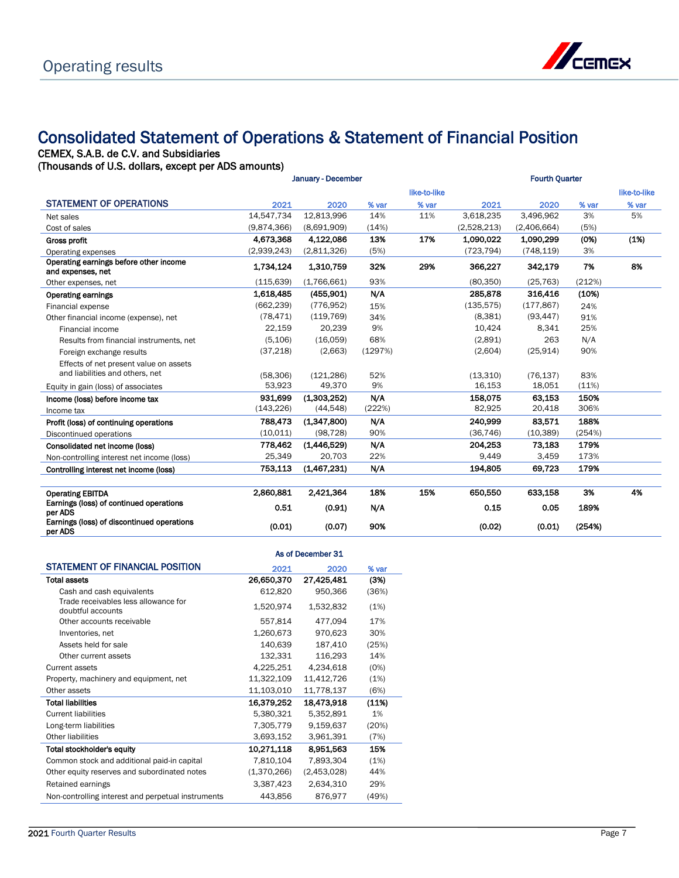

## Consolidated Statement of Operations & Statement of Financial Position

CEMEX, S.A.B. de C.V. and Subsidiaries

(Thousands of U.S. dollars, except per ADS amounts)

|                                                                           |             | January - December |         |              |             |             |        |              |
|---------------------------------------------------------------------------|-------------|--------------------|---------|--------------|-------------|-------------|--------|--------------|
|                                                                           |             |                    |         | like-to-like |             |             |        | like-to-like |
| <b>STATEMENT OF OPERATIONS</b>                                            | 2021        | 2020               | % var   | % var        | 2021        | 2020        | % var  | % var        |
| Net sales                                                                 | 14,547,734  | 12,813,996         | 14%     | 11%          | 3,618,235   | 3,496,962   | 3%     | 5%           |
| Cost of sales                                                             | (9,874,366) | (8,691,909)        | (14%)   |              | (2,528,213) | (2,406,664) | (5%)   |              |
| <b>Gross profit</b>                                                       | 4,673,368   | 4,122,086          | 13%     | 17%          | 1,090,022   | 1,090.299   | (0%)   | (1%)         |
| Operating expenses                                                        | (2,939,243) | (2,811,326)        | (5%)    |              | (723, 794)  | (748, 119)  | 3%     |              |
| Operating earnings before other income<br>and expenses, net               | 1,734,124   | 1,310,759          | 32%     | 29%          | 366,227     | 342,179     | 7%     | 8%           |
| Other expenses, net                                                       | (115, 639)  | (1,766,661)        | 93%     |              | (80,350)    | (25, 763)   | (212%) |              |
| <b>Operating earnings</b>                                                 | 1,618,485   | (455, 901)         | N/A     |              | 285,878     | 316,416     | (10%)  |              |
| Financial expense                                                         | (662, 239)  | (776, 952)         | 15%     |              | (135, 575)  | (177, 867)  | 24%    |              |
| Other financial income (expense), net                                     | (78, 471)   | (119, 769)         | 34%     |              | (8,381)     | (93, 447)   | 91%    |              |
| Financial income                                                          | 22,159      | 20,239             | 9%      |              | 10,424      | 8,341       | 25%    |              |
| Results from financial instruments, net                                   | (5,106)     | (16,059)           | 68%     |              | (2,891)     | 263         | N/A    |              |
| Foreign exchange results                                                  | (37, 218)   | (2,663)            | (1297%) |              | (2,604)     | (25, 914)   | 90%    |              |
| Effects of net present value on assets<br>and liabilities and others, net | (58, 306)   | (121, 286)         | 52%     |              | (13,310)    | (76, 137)   | 83%    |              |
| Equity in gain (loss) of associates                                       | 53,923      | 49,370             | 9%      |              | 16,153      | 18,051      | (11%)  |              |
| Income (loss) before income tax                                           | 931,699     | (1,303,252)        | N/A     |              | 158,075     | 63.153      | 150%   |              |
| Income tax                                                                | (143, 226)  | (44,548)           | (222%)  |              | 82,925      | 20,418      | 306%   |              |
| Profit (loss) of continuing operations                                    | 788,473     | (1,347,800)        | N/A     |              | 240,999     | 83,571      | 188%   |              |
| Discontinued operations                                                   | (10, 011)   | (98, 728)          | 90%     |              | (36, 746)   | (10, 389)   | (254%) |              |
| Consolidated net income (loss)                                            | 778,462     | (1,446,529)        | N/A     |              | 204,253     | 73,183      | 179%   |              |
| Non-controlling interest net income (loss)                                | 25,349      | 20,703             | 22%     |              | 9,449       | 3,459       | 173%   |              |
| Controlling interest net income (loss)                                    | 753,113     | (1,467,231)        | N/A     |              | 194,805     | 69,723      | 179%   |              |
|                                                                           |             |                    |         |              |             |             |        |              |
| <b>Operating EBITDA</b>                                                   | 2,860,881   | 2,421,364          | 18%     | 15%          | 650,550     | 633,158     | 3%     | 4%           |
| Earnings (loss) of continued operations<br>per ADS                        | 0.51        | (0.91)             | N/A     |              | 0.15        | 0.05        | 189%   |              |
| Earnings (loss) of discontinued operations<br>per ADS                     | (0.01)      | (0.07)             | 90%     |              | (0.02)      | (0.01)      | (254%) |              |

|                                                           | As of December 31 |             |       |  |  |
|-----------------------------------------------------------|-------------------|-------------|-------|--|--|
| <b>STATEMENT OF FINANCIAL POSITION</b>                    | 2021              | 2020        | % var |  |  |
| <b>Total assets</b>                                       | 26,650,370        | 27,425,481  | (3%)  |  |  |
| Cash and cash equivalents                                 | 612,820           | 950,366     | (36%) |  |  |
| Trade receivables less allowance for<br>doubtful accounts | 1,520,974         | 1,532,832   | (1%)  |  |  |
| Other accounts receivable                                 | 557,814           | 477,094     | 17%   |  |  |
| Inventories, net                                          | 1,260,673         | 970.623     | 30%   |  |  |
| Assets held for sale                                      | 140,639           | 187,410     | (25%) |  |  |
| Other current assets                                      | 132,331           | 116,293     | 14%   |  |  |
| Current assets                                            | 4,225,251         | 4,234,618   | (0%)  |  |  |
| Property, machinery and equipment, net                    | 11,322,109        | 11,412,726  | (1%)  |  |  |
| Other assets                                              | 11,103,010        | 11,778,137  | (6%)  |  |  |
| <b>Total liabilities</b>                                  | 16,379,252        | 18,473,918  | (11%) |  |  |
| <b>Current liabilities</b>                                | 5,380,321         | 5,352,891   | 1%    |  |  |
| Long-term liabilities                                     | 7,305,779         | 9,159,637   | (20%) |  |  |
| Other liabilities                                         | 3,693,152         | 3,961,391   | (7%)  |  |  |
| Total stockholder's equity                                | 10,271,118        | 8,951,563   | 15%   |  |  |
| Common stock and additional paid-in capital               | 7,810,104         | 7,893,304   | (1%)  |  |  |
| Other equity reserves and subordinated notes              | (1,370,266)       | (2,453,028) | 44%   |  |  |
| Retained earnings                                         | 3,387,423         | 2,634,310   | 29%   |  |  |
| Non-controlling interest and perpetual instruments        | 443,856           | 876,977     | (49%) |  |  |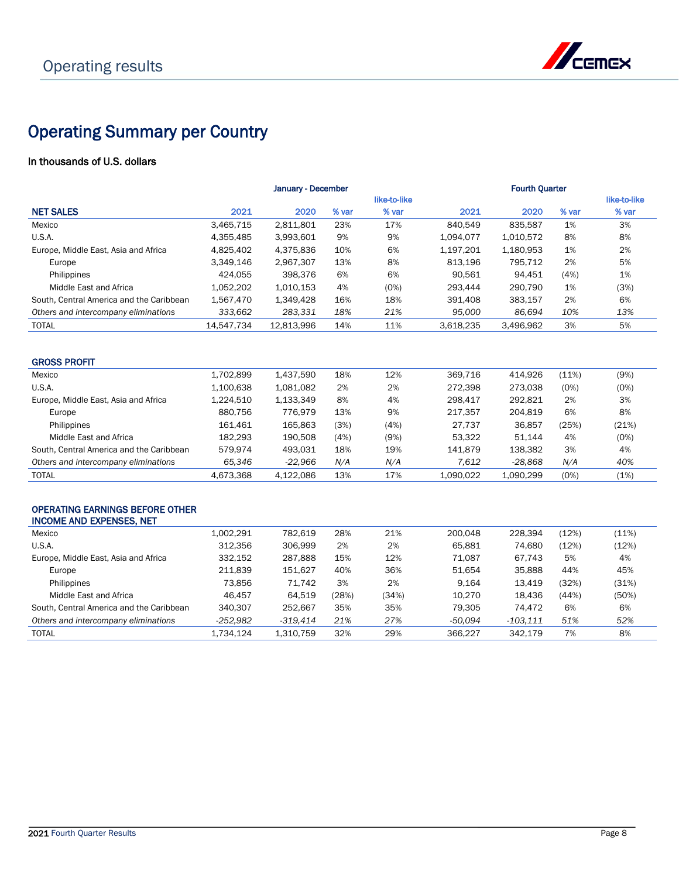

## Operating Summary per Country

## In thousands of U.S. dollars

|                                          | January - December |            |       | <b>Fourth Ouarter</b> |           |           |       |              |
|------------------------------------------|--------------------|------------|-------|-----------------------|-----------|-----------|-------|--------------|
|                                          |                    |            |       | like-to-like          |           |           |       | like-to-like |
| <b>NET SALES</b>                         | 2021               | 2020       | % var | % var                 | 2021      | 2020      | % var | % var        |
| Mexico                                   | 3.465.715          | 2.811.801  | 23%   | 17%                   | 840.549   | 835.587   | 1%    | 3%           |
| U.S.A.                                   | 4.355.485          | 3.993.601  | 9%    | 9%                    | 1.094.077 | 1.010.572 | 8%    | 8%           |
| Europe, Middle East, Asia and Africa     | 4.825.402          | 4.375.836  | 10%   | 6%                    | 1.197.201 | 1,180,953 | 1%    | 2%           |
| Europe                                   | 3.349.146          | 2.967.307  | 13%   | 8%                    | 813.196   | 795.712   | 2%    | 5%           |
| Philippines                              | 424.055            | 398.376    | 6%    | 6%                    | 90.561    | 94.451    | (4%)  | 1%           |
| Middle East and Africa                   | 1.052.202          | 1.010.153  | 4%    | (0%)                  | 293.444   | 290.790   | 1%    | (3%)         |
| South, Central America and the Caribbean | 1.567.470          | 1.349.428  | 16%   | 18%                   | 391.408   | 383.157   | 2%    | 6%           |
| Others and intercompany eliminations     | 333.662            | 283.331    | 18%   | 21%                   | 95,000    | 86.694    | 10%   | 13%          |
| <b>TOTAL</b>                             | 14.547.734         | 12.813.996 | 14%   | 11%                   | 3.618.235 | 3,496,962 | 3%    | 5%           |
|                                          |                    |            |       |                       |           |           |       |              |

### GROSS PROFIT

| Mexico                                   | 1,702,899 | 1,437,590 | 18%  | 12%  | 369.716   | 414.926   | (11%) | (9%)  |
|------------------------------------------|-----------|-----------|------|------|-----------|-----------|-------|-------|
| U.S.A.                                   | 1.100.638 | 1,081,082 | 2%   | 2%   | 272.398   | 273.038   | (0%)  | (0%)  |
| Europe, Middle East, Asia and Africa     | 1.224.510 | 1,133,349 | 8%   | 4%   | 298.417   | 292.821   | 2%    | 3%    |
| Europe                                   | 880.756   | 776.979   | 13%  | 9%   | 217.357   | 204.819   | 6%    | 8%    |
| Philippines                              | 161.461   | 165.863   | (3%) | (4%) | 27.737    | 36,857    | (25%) | (21%) |
| Middle East and Africa                   | 182.293   | 190.508   | (4%) | (9%) | 53.322    | 51.144    | 4%    | (0%)  |
| South, Central America and the Caribbean | 579.974   | 493,031   | 18%  | 19%  | 141.879   | 138.382   | 3%    | 4%    |
| Others and intercompany eliminations     | 65.346    | $-22.966$ | N/A  | N/A  | 7.612     | -28.868   | N/A   | 40%   |
| <b>TOTAL</b>                             | 4.673.368 | 4.122.086 | 13%  | 17%  | 1.090.022 | 1.090.299 | (0%)  | (1%)  |

#### OPERATING EARNINGS BEFORE OTHER INCOME AND EXPENSES, NET

| 1,002,291 | 782.619   | 28%   | 21%   | 200.048   | 228.394  | (12%) | (11%) |
|-----------|-----------|-------|-------|-----------|----------|-------|-------|
| 312.356   | 306.999   | 2%    | 2%    | 65,881    | 74.680   | (12%) | (12%) |
| 332.152   | 287.888   | 15%   | 12%   | 71.087    | 67.743   | 5%    | 4%    |
| 211.839   | 151.627   | 40%   | 36%   | 51.654    | 35,888   | 44%   | 45%   |
| 73.856    | 71.742    | 3%    | 2%    | 9.164     | 13.419   | (32%) | (31%) |
| 46.457    | 64.519    | (28%) | (34%) | 10.270    | 18.436   | (44%) | (50%) |
| 340.307   | 252.667   | 35%   | 35%   | 79.305    | 74.472   | 6%    | 6%    |
| -252.982  | -319.414  | 21%   | 27%   | $-50.094$ | -103.111 | 51%   | 52%   |
| 1.734.124 | 1.310.759 | 32%   | 29%   | 366.227   | 342.179  | 7%    | 8%    |
|           |           |       |       |           |          |       |       |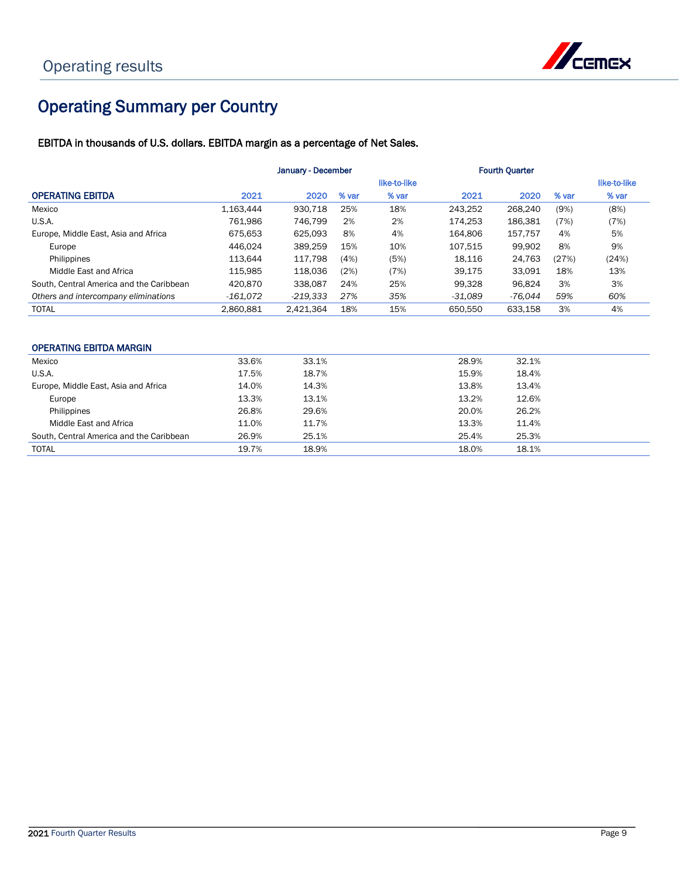

## Operating Summary per Country

EBITDA in thousands of U.S. dollars. EBITDA margin as a percentage of Net Sales.

|                                          | January - December |           |       |              | <b>Fourth Quarter</b> |           |       |              |  |
|------------------------------------------|--------------------|-----------|-------|--------------|-----------------------|-----------|-------|--------------|--|
|                                          |                    |           |       | like-to-like |                       |           |       | like-to-like |  |
| <b>OPERATING EBITDA</b>                  | 2021               | 2020      | % var | % var        | 2021                  | 2020      | % var | % var        |  |
| Mexico                                   | 1.163.444          | 930.718   | 25%   | 18%          | 243.252               | 268.240   | (9%)  | (8%)         |  |
| U.S.A.                                   | 761.986            | 746.799   | 2%    | 2%           | 174.253               | 186.381   | (7%)  | (7%)         |  |
| Europe, Middle East, Asia and Africa     | 675.653            | 625.093   | 8%    | 4%           | 164.806               | 157.757   | 4%    | 5%           |  |
| Europe                                   | 446.024            | 389.259   | 15%   | 10%          | 107.515               | 99.902    | 8%    | 9%           |  |
| Philippines                              | 113.644            | 117.798   | (4%)  | (5%)         | 18.116                | 24.763    | (27%) | (24%)        |  |
| Middle East and Africa                   | 115.985            | 118.036   | (2%)  | (7%)         | 39.175                | 33.091    | 18%   | 13%          |  |
| South, Central America and the Caribbean | 420,870            | 338,087   | 24%   | 25%          | 99,328                | 96.824    | 3%    | 3%           |  |
| Others and intercompany eliminations     | -161.072           | -219.333  | 27%   | 35%          | $-31.089$             | $-76.044$ | 59%   | 60%          |  |
| <b>TOTAL</b>                             | 2,860,881          | 2,421,364 | 18%   | 15%          | 650,550               | 633,158   | 3%    | 4%           |  |
|                                          |                    |           |       |              |                       |           |       |              |  |

## OPERATING EBITDA MARGIN

| Mexico                                   | 33.6% | 33.1% | 28.9% | 32.1% |
|------------------------------------------|-------|-------|-------|-------|
| U.S.A.                                   | 17.5% | 18.7% | 15.9% | 18.4% |
| Europe, Middle East, Asia and Africa     | 14.0% | 14.3% | 13.8% | 13.4% |
| Europe                                   | 13.3% | 13.1% | 13.2% | 12.6% |
| Philippines                              | 26.8% | 29.6% | 20.0% | 26.2% |
| Middle East and Africa                   | 11.0% | 11.7% | 13.3% | 11.4% |
| South, Central America and the Caribbean | 26.9% | 25.1% | 25.4% | 25.3% |
| <b>TOTAL</b>                             | 19.7% | 18.9% | 18.0% | 18.1% |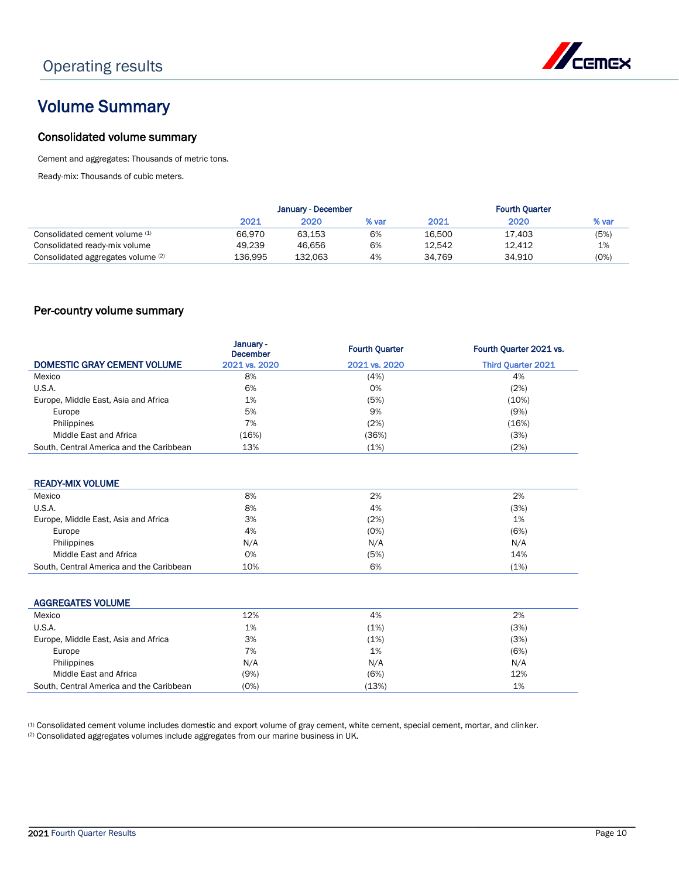

## Volume Summary

## Consolidated volume summary

Cement and aggregates: Thousands of metric tons.

Ready-mix: Thousands of cubic meters.

|                                    | January - December |         |       | <b>Fourth Ouarter</b> |        |       |
|------------------------------------|--------------------|---------|-------|-----------------------|--------|-------|
|                                    | 2021               | 2020    | % var | 2021                  | 2020   | % var |
| Consolidated cement volume (1)     | 66.970             | 63.153  | 6%    | 16.500                | 17.403 | (5%)  |
| Consolidated ready-mix volume      | 49.239             | 46.656  | 6%    | 12.542                | 12.412 | 1%    |
| Consolidated aggregates volume (2) | 136.995            | 132.063 | 4%    | 34.769                | 34.910 | (0%)  |

## Per-country volume summary

|                                          | January -<br><b>December</b> | <b>Fourth Ouarter</b> | Fourth Ouarter 2021 vs.   |
|------------------------------------------|------------------------------|-----------------------|---------------------------|
| <b>DOMESTIC GRAY CEMENT VOLUME</b>       | 2021 vs. 2020                | 2021 vs. 2020         | <b>Third Quarter 2021</b> |
| Mexico                                   | 8%                           | (4%)                  | 4%                        |
| <b>U.S.A.</b>                            | 6%                           | 0%                    | (2%)                      |
| Europe, Middle East, Asia and Africa     | 1%                           | (5%)                  | (10%)                     |
| Europe                                   | 5%                           | 9%                    | (9%)                      |
| Philippines                              | 7%                           | (2%)                  | (16%)                     |
| Middle East and Africa                   | $16\%$                       | (36%)                 | (3%)                      |
| South, Central America and the Caribbean | 13%                          | (1%)                  | (2%)                      |

### READY-MIX VOLUME

| Mexico                                   | 8%  | 2%   | 2%   |
|------------------------------------------|-----|------|------|
| U.S.A.                                   | 8%  | 4%   | (3%) |
| Europe, Middle East, Asia and Africa     | 3%  | (2%) | 1%   |
| Europe                                   | 4%  | (0%) | (6%) |
| Philippines                              | N/A | N/A  | N/A  |
| Middle East and Africa                   | 0%  | (5%) | 14%  |
| South, Central America and the Caribbean | 10% | 6%   | (1%) |

| <b>AGGREGATES VOLUME</b>                 |      |       |      |
|------------------------------------------|------|-------|------|
| Mexico                                   | 12%  | 4%    | 2%   |
| <b>U.S.A.</b>                            | 1%   | (1%)  | (3%) |
| Europe, Middle East, Asia and Africa     | 3%   | (1%)  | (3%) |
| Europe                                   | 7%   | 1%    | (6%) |
| Philippines                              | N/A  | N/A   | N/A  |
| Middle East and Africa                   | (9%) | (6%)  | 12%  |
| South, Central America and the Caribbean | (0%) | (13%) | 1%   |

(1) Consolidated cement volume includes domestic and export volume of gray cement, white cement, special cement, mortar, and clinker. (2) Consolidated aggregates volumes include aggregates from our marine business in UK.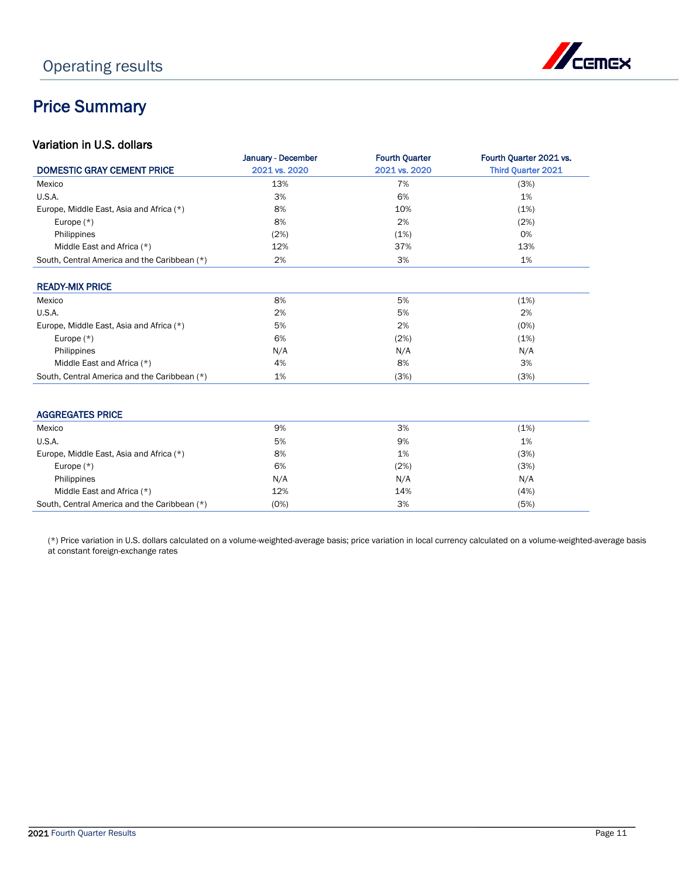

## Price Summary

## Variation in U.S. dollars

|                                              | January - December | <b>Fourth Quarter</b> | Fourth Quarter 2021 vs.   |
|----------------------------------------------|--------------------|-----------------------|---------------------------|
| <b>DOMESTIC GRAY CEMENT PRICE</b>            | 2021 vs. 2020      | 2021 vs. 2020         | <b>Third Quarter 2021</b> |
| Mexico                                       | 13%                | 7%                    | (3%)                      |
| U.S.A.                                       | 3%                 | 6%                    | 1%                        |
| Europe, Middle East, Asia and Africa (*)     | 8%                 | 10%                   | (1%)                      |
| Europe $(*)$                                 | 8%                 | 2%                    | (2%)                      |
| Philippines                                  | (2%)               | (1%)                  | 0%                        |
| Middle East and Africa (*)                   | 12%                | 37%                   | 13%                       |
| South, Central America and the Caribbean (*) | 2%                 | 3%                    | 1%                        |
| <b>READY-MIX PRICE</b>                       |                    |                       |                           |
| Mexico                                       | 8%                 | 5%                    | (1%)                      |
| U.S.A.                                       | 2%                 | 5%                    | 2%                        |
| Europe, Middle East, Asia and Africa (*)     | 5%                 | 2%                    | (0%)                      |
| Europe $(*)$                                 | 6%                 | (2%)                  | (1%)                      |
| Philippines                                  | N/A                | N/A                   | N/A                       |
| Middle East and Africa (*)                   | 4%                 | 8%                    | 3%                        |
| South, Central America and the Caribbean (*) | 1%                 | (3%)                  | (3%)                      |
| <b>AGGREGATES PRICE</b>                      |                    |                       |                           |
|                                              |                    |                       |                           |

| Mexico                                       | 9%   | 3%   | (1%) |
|----------------------------------------------|------|------|------|
| U.S.A.                                       | 5%   | 9%   | 1%   |
| Europe, Middle East, Asia and Africa (*)     | 8%   | 1%   | (3%) |
| Europe $(*)$                                 | 6%   | (2%) | (3%) |
| Philippines                                  | N/A  | N/A  | N/A  |
| Middle East and Africa (*)                   | 12%  | 14%  | (4%) |
| South, Central America and the Caribbean (*) | (0%) | 3%   | (5%) |

(\*) Price variation in U.S. dollars calculated on a volume-weighted-average basis; price variation in local currency calculated on a volume-weighted-average basis at constant foreign-exchange rates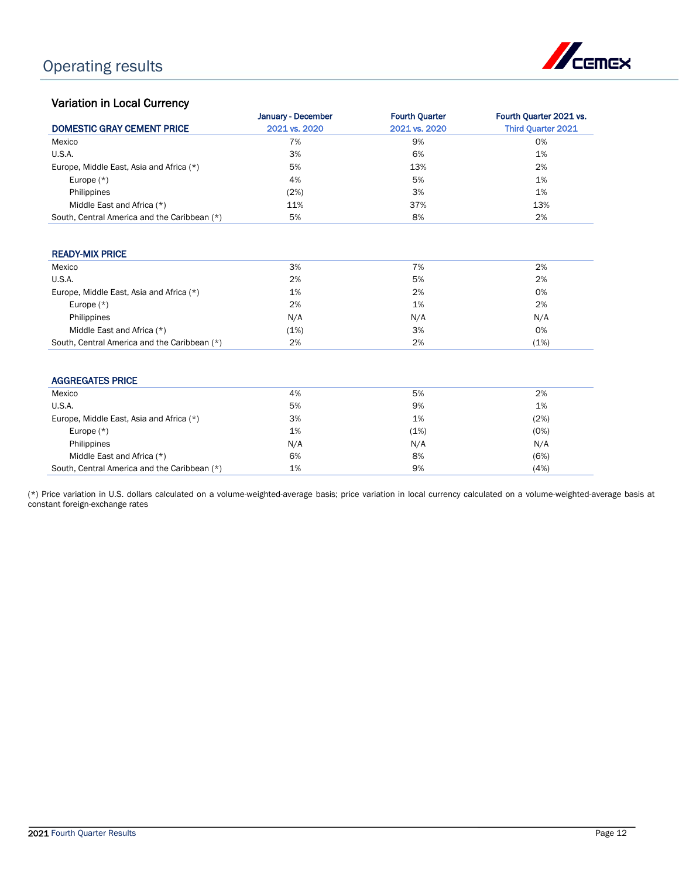

## Variation in Local Currency

|                                              | January - December | <b>Fourth Quarter</b> | Fourth Quarter 2021 vs.   |
|----------------------------------------------|--------------------|-----------------------|---------------------------|
| <b>DOMESTIC GRAY CEMENT PRICE</b>            | 2021 vs. 2020      | 2021 vs. 2020         | <b>Third Quarter 2021</b> |
| Mexico                                       | 7%                 | 9%                    | 0%                        |
| U.S.A.                                       | 3%                 | 6%                    | 1%                        |
| Europe, Middle East, Asia and Africa (*)     | 5%                 | 13%                   | 2%                        |
| Europe $(*)$                                 | 4%                 | 5%                    | 1%                        |
| Philippines                                  | (2%)               | 3%                    | 1%                        |
| Middle East and Africa (*)                   | 11%                | 37%                   | 13%                       |
| South, Central America and the Caribbean (*) | 5%                 | 8%                    | 2%                        |
| <b>READY-MIX PRICE</b>                       |                    |                       |                           |
| Mexico                                       | 3%                 | 7%                    | 2%                        |
| U.S.A.                                       | 2%                 | 5%                    | 2%                        |
| Europe, Middle East, Asia and Africa (*)     | 1%                 | 2%                    | 0%                        |
| Europe $(*)$                                 | 2%                 | 1%                    | 2%                        |
| Philippines                                  | N/A                | N/A                   | N/A                       |
| Middle East and Africa (*)                   | (1%)               | 3%                    | 0%                        |
| South, Central America and the Caribbean (*) | 2%                 | 2%                    | (1%)                      |
|                                              |                    |                       |                           |
| <b>AGGREGATES PRICE</b>                      |                    |                       |                           |
| Mexico                                       | 4%                 | 5%                    | 2%                        |
| U.S.A.                                       | 5%                 | 9%                    | 1%                        |
| Europe, Middle East, Asia and Africa (*)     | 3%                 | 1%                    | (2%)                      |
| Europe $(*)$                                 | 1%                 | (1%)                  | (0%)                      |
| Philippines                                  | N/A                | N/A                   | N/A                       |
| Middle East and Africa (*)                   | 6%                 | 8%                    | (6%)                      |
| South, Central America and the Caribbean (*) | 1%                 | 9%                    | (4%)                      |

(\*) Price variation in U.S. dollars calculated on a volume-weighted-average basis; price variation in local currency calculated on a volume-weighted-average basis at constant foreign-exchange rates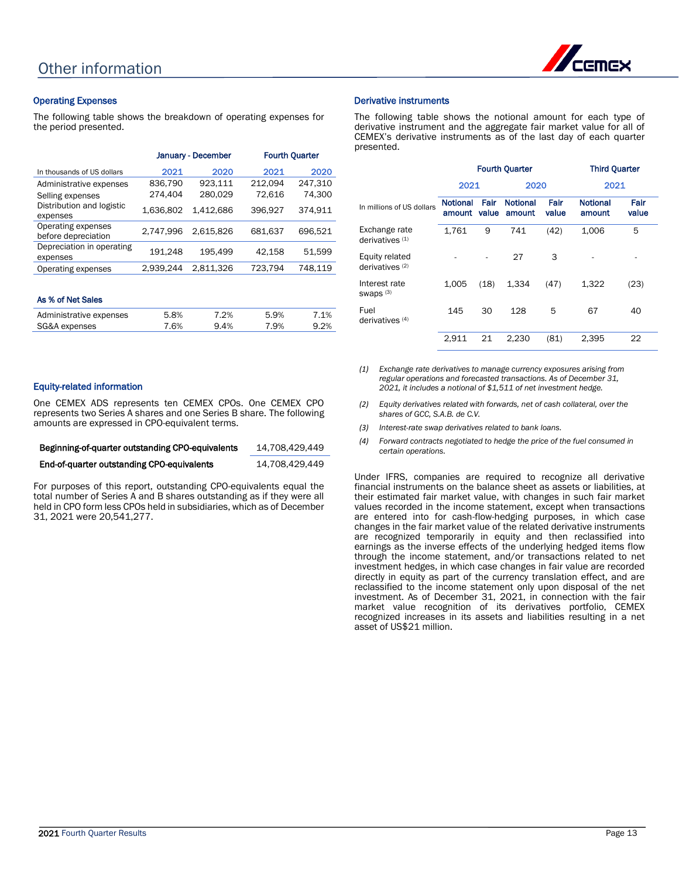

### Operating Expenses

The following table shows the breakdown of operating expenses for the period presented.

|                                                           |           | January - December | <b>Fourth Quarter</b> |         |  |
|-----------------------------------------------------------|-----------|--------------------|-----------------------|---------|--|
| In thousands of US dollars                                | 2021      | 2020               | 2021                  | 2020    |  |
| Administrative expenses                                   | 836,790   | 923,111            | 212.094               | 247,310 |  |
| Selling expenses<br>Distribution and logistic<br>expenses | 274.404   | 280,029            | 72,616                | 74,300  |  |
|                                                           | 1,636,802 | 1.412.686          | 396,927               | 374.911 |  |
| Operating expenses<br>before depreciation                 | 2,747,996 | 2.615.826          | 681,637               | 696,521 |  |
| Depreciation in operating<br>expenses                     | 191,248   | 195.499            | 42,158                | 51,599  |  |
| Operating expenses                                        | 2.939.244 | 2.811.326          | 723.794               | 748.119 |  |

### As % of Net Sales

| AS 70 UI NEL SAIES      |      |         |      |      |
|-------------------------|------|---------|------|------|
| Administrative expenses | 5.8% | $7.2\%$ | 5.9% | 7.1% |
| SG&A expenses           | 7.6% | 9.4%    | 7.9% | 9.2% |

### Derivative instruments

The following table shows the notional amount for each type of derivative instrument and the aggregate fair market value for all of CEMEX's derivative instruments as of the last day of each quarter presented.

|                                              | <b>Fourth Quarter</b>     |               |                           |               | <b>Third Ouarter</b>      |               |
|----------------------------------------------|---------------------------|---------------|---------------------------|---------------|---------------------------|---------------|
|                                              |                           | 2021<br>2020  |                           |               | 2021                      |               |
| In millions of US dollars                    | <b>Notional</b><br>amount | Fair<br>value | <b>Notional</b><br>amount | Fair<br>value | <b>Notional</b><br>amount | Fair<br>value |
| Exchange rate<br>derivatives <sup>(1)</sup>  | 1,761                     | 9             | 741                       | (42)          | 1,006                     | 5             |
| Equity related<br>derivatives <sup>(2)</sup> |                           |               | 27                        | 3             |                           |               |
| Interest rate<br>Swaps (3)                   | 1.005                     | (18)          | 1,334                     | (47)          | 1,322                     | (23)          |
| Fuel<br>derivatives <sup>(4)</sup>           | 145                       | 30            | 128                       | 5             | 67                        | 40            |
|                                              | 2.911                     | 21            | 2,230                     | (81)          | 2,395                     | 22            |

- *(1) Exchange rate derivatives to manage currency exposures arising from regular operations and forecasted transactions. As of December 31, 2021, it includes a notional of \$1,511 of net investment hedge.*
- *(2) Equity derivatives related with forwards, net of cash collateral, over the shares of GCC, S.A.B. de C.V.*
- *(3) Interest-rate swap derivatives related to bank loans.*
- *(4) Forward contracts negotiated to hedge the price of the fuel consumed in certain operations.*

Under IFRS, companies are required to recognize all derivative financial instruments on the balance sheet as assets or liabilities, at their estimated fair market value, with changes in such fair market values recorded in the income statement, except when transactions are entered into for cash-flow-hedging purposes, in which case changes in the fair market value of the related derivative instruments are recognized temporarily in equity and then reclassified into earnings as the inverse effects of the underlying hedged items flow through the income statement, and/or transactions related to net investment hedges, in which case changes in fair value are recorded directly in equity as part of the currency translation effect, and are reclassified to the income statement only upon disposal of the net investment. As of December 31, 2021, in connection with the fair market value recognition of its derivatives portfolio, CEMEX recognized increases in its assets and liabilities resulting in a net asset of US\$21 million.

### Equity-related information

One CEMEX ADS represents ten CEMEX CPOs. One CEMEX CPO represents two Series A shares and one Series B share. The following amounts are expressed in CPO-equivalent terms.

| Beginning-of-quarter outstanding CPO-equivalents | 14.708.429.449 |  |
|--------------------------------------------------|----------------|--|
| End-of-quarter outstanding CPO-equivalents       | 14.708.429.449 |  |

For purposes of this report, outstanding CPO-equivalents equal the total number of Series A and B shares outstanding as if they were all held in CPO form less CPOs held in subsidiaries, which as of December 31, 2021 were 20,541,277.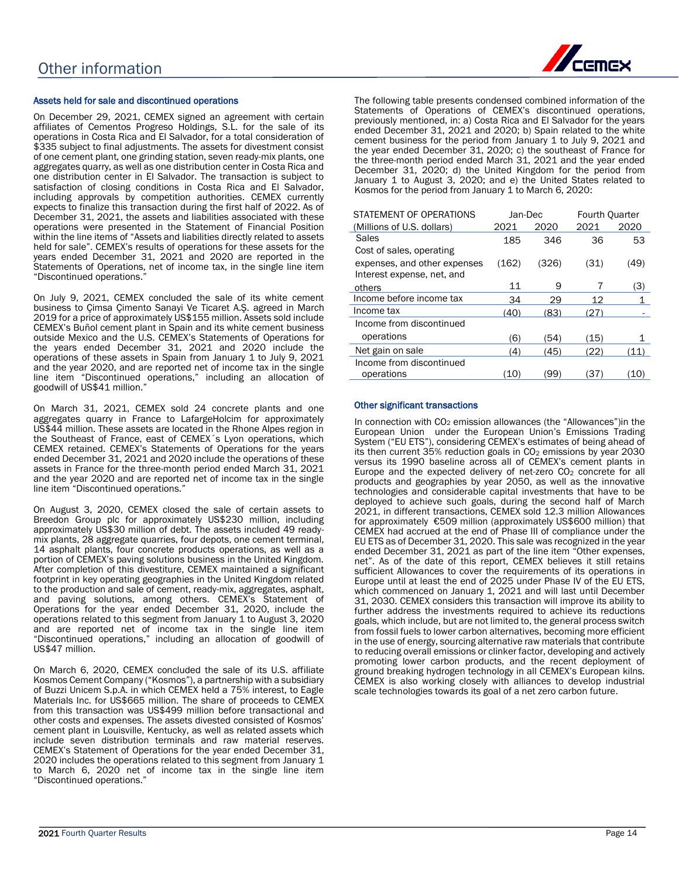### Assets held for sale and discontinued operations

On December 29, 2021, CEMEX signed an agreement with certain affiliates of Cementos Progreso Holdings, S.L. for the sale of its operations in Costa Rica and El Salvador, for a total consideration of \$335 subject to final adjustments. The assets for divestment consist of one cement plant, one grinding station, seven ready-mix plants, one aggregates quarry, as well as one distribution center in Costa Rica and one distribution center in El Salvador. The transaction is subject to satisfaction of closing conditions in Costa Rica and El Salvador, including approvals by competition authorities. CEMEX currently expects to finalize this transaction during the first half of 2022. As of December 31, 2021, the assets and liabilities associated with these operations were presented in the Statement of Financial Position within the line items of "Assets and liabilities directly related to assets held for sale". CEMEX's results of operations for these assets for the years ended December 31, 2021 and 2020 are reported in the Statements of Operations, net of income tax, in the single line item "Discontinued operations."

On July 9, 2021, CEMEX concluded the sale of its white cement business to Çimsa Çimento Sanayi Ve Ticaret A.Ş. agreed in March 2019 for a price of approximately US\$155 million. Assets sold include CEMEX's Buñol cement plant in Spain and its white cement business outside Mexico and the U.S. CEMEX's Statements of Operations for the years ended December 31, 2021 and 2020 include the operations of these assets in Spain from January 1 to July 9, 2021 and the year 2020, and are reported net of income tax in the single line item "Discontinued operations," including an allocation of goodwill of US\$41 million."

On March 31, 2021, CEMEX sold 24 concrete plants and one aggregates quarry in France to LafargeHolcim for approximately US\$44 million. These assets are located in the Rhone Alpes region in the Southeast of France, east of CEMEX´s Lyon operations, which CEMEX retained. CEMEX's Statements of Operations for the years ended December 31, 2021 and 2020 include the operations of these assets in France for the three-month period ended March 31, 2021 and the year 2020 and are reported net of income tax in the single line item "Discontinued operations."

On August 3, 2020, CEMEX closed the sale of certain assets to Breedon Group plc for approximately US\$230 million, including approximately US\$30 million of debt. The assets included 49 readymix plants, 28 aggregate quarries, four depots, one cement terminal, 14 asphalt plants, four concrete products operations, as well as a portion of CEMEX's paving solutions business in the United Kingdom. After completion of this divestiture, CEMEX maintained a significant footprint in key operating geographies in the United Kingdom related to the production and sale of cement, ready-mix, aggregates, asphalt, and paving solutions, among others. CEMEX's Statement of Operations for the year ended December 31, 2020, include the operations related to this segment from January 1 to August 3, 2020 and are reported net of income tax in the single line item "Discontinued operations," including an allocation of goodwill of US\$47 million.

On March 6, 2020, CEMEX concluded the sale of its U.S. affiliate Kosmos Cement Company ("Kosmos"), a partnership with a subsidiary of Buzzi Unicem S.p.A. in which CEMEX held a 75% interest, to Eagle Materials Inc. for US\$665 million. The share of proceeds to CEMEX from this transaction was US\$499 million before transactional and other costs and expenses. The assets divested consisted of Kosmos' cement plant in Louisville, Kentucky, as well as related assets which include seven distribution terminals and raw material reserves. CEMEX's Statement of Operations for the year ended December 31, 2020 includes the operations related to this segment from January 1 to March 6, 2020 net of income tax in the single line item "Discontinued operations."



The following table presents condensed combined information of the Statements of Operations of CEMEX's discontinued operations, previously mentioned, in: a) Costa Rica and El Salvador for the years ended December 31, 2021 and 2020; b) Spain related to the white cement business for the period from January 1 to July 9, 2021 and the year ended December 31, 2020; c) the southeast of France for the three-month period ended March 31, 2021 and the year ended December 31, 2020; d) the United Kingdom for the period from January 1 to August 3, 2020; and e) the United States related to Kosmos for the period from January 1 to March 6, 2020:

| STATEMENT OF OPERATIONS      | Jan-Dec |       | <b>Fourth Quarter</b> |      |
|------------------------------|---------|-------|-----------------------|------|
| (Millions of U.S. dollars)   | 2021    | 2020  | 2021                  | 2020 |
| Sales                        | 185     | 346   | 36                    | 53   |
| Cost of sales, operating     |         |       |                       |      |
| expenses, and other expenses | (162)   | (326) | (31)                  | (49) |
| Interest expense, net, and   |         |       |                       |      |
| others                       | 11      | 9     |                       | (3)  |
| Income before income tax     | 34      | 29    | 12                    |      |
| Income tax                   | (40)    | (83)  | (27)                  |      |
| Income from discontinued     |         |       |                       |      |
| operations                   | (6)     | (54)  | (15)                  | 1    |
| Net gain on sale             | (4)     | (45)  | (22)                  | (11) |
| Income from discontinued     |         |       |                       |      |
| operations                   | '10     | '99'  | (37)                  | (10  |

### Other significant transactions

In connection with CO<sub>2</sub> emission allowances (the "Allowances") in the European Union under the European Union's Emissions Trading System ("EU ETS"), considering CEMEX's estimates of being ahead of its then current  $35%$  reduction goals in  $CO<sub>2</sub>$  emissions by year 2030 versus its 1990 baseline across all of CEMEX's cement plants in Europe and the expected delivery of net-zero  $CO<sub>2</sub>$  concrete for all products and geographies by year 2050, as well as the innovative technologies and considerable capital investments that have to be deployed to achieve such goals, during the second half of March 2021, in different transactions, CEMEX sold 12.3 million Allowances for approximately €509 million (approximately US\$600 million) that CEMEX had accrued at the end of Phase III of compliance under the EU ETS as of December 31, 2020. This sale was recognized in the year ended December 31, 2021 as part of the line item "Other expenses, net". As of the date of this report, CEMEX believes it still retains sufficient Allowances to cover the requirements of its operations in Europe until at least the end of 2025 under Phase IV of the EU ETS, which commenced on January 1, 2021 and will last until December 31, 2030. CEMEX considers this transaction will improve its ability to further address the investments required to achieve its reductions goals, which include, but are not limited to, the general process switch from fossil fuels to lower carbon alternatives, becoming more efficient in the use of energy, sourcing alternative raw materials that contribute to reducing overall emissions or clinker factor, developing and actively promoting lower carbon products, and the recent deployment of ground breaking hydrogen technology in all CEMEX's European kilns. CEMEX is also working closely with alliances to develop industrial scale technologies towards its goal of a net zero carbon future.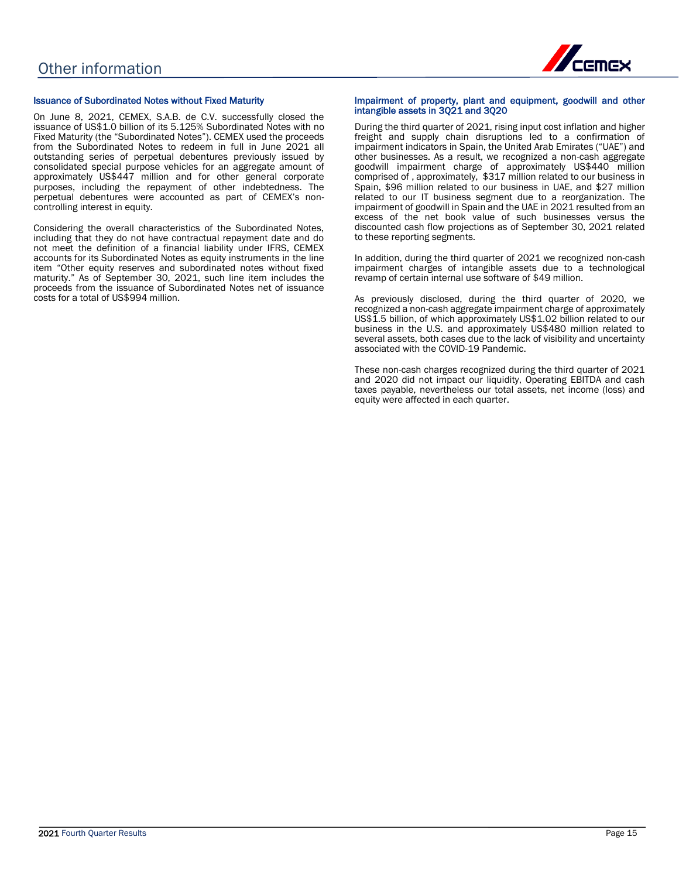

#### Issuance of Subordinated Notes without Fixed Maturity

On June 8, 2021, CEMEX, S.A.B. de C.V. successfully closed the issuance of US\$1.0 billion of its 5.125% Subordinated Notes with no Fixed Maturity (the "Subordinated Notes"). CEMEX used the proceeds from the Subordinated Notes to redeem in full in June 2021 all outstanding series of perpetual debentures previously issued by consolidated special purpose vehicles for an aggregate amount of approximately US\$447 million and for other general corporate purposes, including the repayment of other indebtedness. The perpetual debentures were accounted as part of CEMEX's noncontrolling interest in equity.

Considering the overall characteristics of the Subordinated Notes, including that they do not have contractual repayment date and do not meet the definition of a financial liability under IFRS, CEMEX accounts for its Subordinated Notes as equity instruments in the line item "Other equity reserves and subordinated notes without fixed maturity." As of September 30, 2021, such line item includes the proceeds from the issuance of Subordinated Notes net of issuance costs for a total of US\$994 million.

#### Impairment of property, plant and equipment, goodwill and other intangible assets in 3Q21 and 3Q20

During the third quarter of 2021, rising input cost inflation and higher freight and supply chain disruptions led to a confirmation of impairment indicators in Spain, the United Arab Emirates ("UAE") and other businesses. As a result, we recognized a non-cash aggregate goodwill impairment charge of approximately US\$440 million comprised of , approximately, \$317 million related to our business in Spain, \$96 million related to our business in UAE, and \$27 million related to our IT business segment due to a reorganization. The impairment of goodwill in Spain and the UAE in 2021 resulted from an excess of the net book value of such businesses versus the discounted cash flow projections as of September 30, 2021 related to these reporting segments.

In addition, during the third quarter of 2021 we recognized non-cash impairment charges of intangible assets due to a technological revamp of certain internal use software of \$49 million.

As previously disclosed, during the third quarter of 2020, we recognized a non-cash aggregate impairment charge of approximately US\$1.5 billion, of which approximately US\$1.02 billion related to our business in the U.S. and approximately US\$480 million related to several assets, both cases due to the lack of visibility and uncertainty associated with the COVID-19 Pandemic.

These non-cash charges recognized during the third quarter of 2021 and 2020 did not impact our liquidity, Operating EBITDA and cash taxes payable, nevertheless our total assets, net income (loss) and equity were affected in each quarter.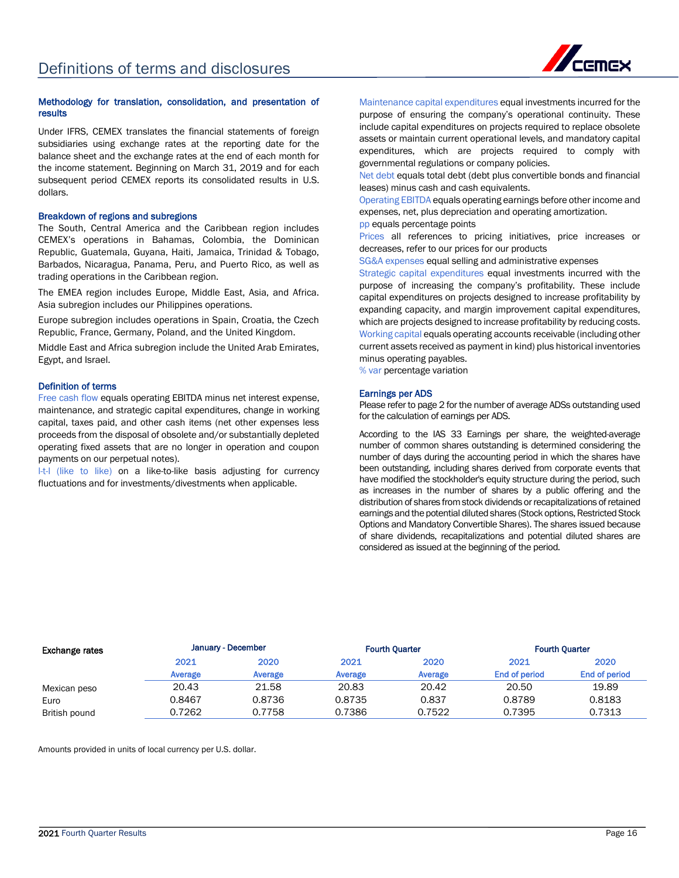

### Methodology for translation, consolidation, and presentation of results

Under IFRS, CEMEX translates the financial statements of foreign subsidiaries using exchange rates at the reporting date for the balance sheet and the exchange rates at the end of each month for the income statement. Beginning on March 31, 2019 and for each subsequent period CEMEX reports its consolidated results in U.S. dollars.

#### Breakdown of regions and subregions

The South, Central America and the Caribbean region includes CEMEX's operations in Bahamas, Colombia, the Dominican Republic, Guatemala, Guyana, Haiti, Jamaica, Trinidad & Tobago, Barbados, Nicaragua, Panama, Peru, and Puerto Rico, as well as trading operations in the Caribbean region.

The EMEA region includes Europe, Middle East, Asia, and Africa. Asia subregion includes our Philippines operations.

Europe subregion includes operations in Spain, Croatia, the Czech Republic, France, Germany, Poland, and the United Kingdom.

Middle East and Africa subregion include the United Arab Emirates, Egypt, and Israel.

#### Definition of terms

Free cash flow equals operating EBITDA minus net interest expense, maintenance, and strategic capital expenditures, change in working capital, taxes paid, and other cash items (net other expenses less proceeds from the disposal of obsolete and/or substantially depleted operating fixed assets that are no longer in operation and coupon payments on our perpetual notes).

l-t-l (like to like) on a like-to-like basis adjusting for currency fluctuations and for investments/divestments when applicable.

Maintenance capital expenditures equal investments incurred for the purpose of ensuring the company's operational continuity. These include capital expenditures on projects required to replace obsolete assets or maintain current operational levels, and mandatory capital expenditures, which are projects required to comply with governmental regulations or company policies.

Net debt equals total debt (debt plus convertible bonds and financial leases) minus cash and cash equivalents.

Operating EBITDA equals operating earnings before other income and expenses, net, plus depreciation and operating amortization.

#### pp equals percentage points

Prices all references to pricing initiatives, price increases or decreases, refer to our prices for our products

SG&A expenses equal selling and administrative expenses

Strategic capital expenditures equal investments incurred with the purpose of increasing the company's profitability. These include capital expenditures on projects designed to increase profitability by expanding capacity, and margin improvement capital expenditures, which are projects designed to increase profitability by reducing costs. Working capital equals operating accounts receivable (including other current assets received as payment in kind) plus historical inventories minus operating payables.

% var percentage variation

#### Earnings per ADS

Please refer to page 2 for the number of average ADSs outstanding used for the calculation of earnings per ADS.

According to the IAS 33 Earnings per share, the weighted-average number of common shares outstanding is determined considering the number of days during the accounting period in which the shares have been outstanding, including shares derived from corporate events that have modified the stockholder's equity structure during the period, such as increases in the number of shares by a public offering and the distribution of shares from stock dividends or recapitalizations of retained earnings and the potential diluted shares (Stock options, Restricted Stock Options and Mandatory Convertible Shares). The shares issued because of share dividends, recapitalizations and potential diluted shares are considered as issued at the beginning of the period.

| <b>Exchange rates</b> |         | January - December |         | <b>Fourth Ouarter</b> |               | <b>Fourth Ouarter</b> |  |
|-----------------------|---------|--------------------|---------|-----------------------|---------------|-----------------------|--|
|                       | 2021    | 2020               | 2021    | 2020                  | 2021          | 2020                  |  |
|                       | Average | Average            | Average | Average               | End of period | <b>End of period</b>  |  |
| Mexican peso          | 20.43   | 21.58              | 20.83   | 20.42                 | 20.50         | 19.89                 |  |
| Euro                  | 0.8467  | 0.8736             | 0.8735  | 0.837                 | 0.8789        | 0.8183                |  |
| British pound         | 0.7262  | 0.7758             | 0.7386  | 0.7522                | 0.7395        | 0.7313                |  |

Amounts provided in units of local currency per U.S. dollar.